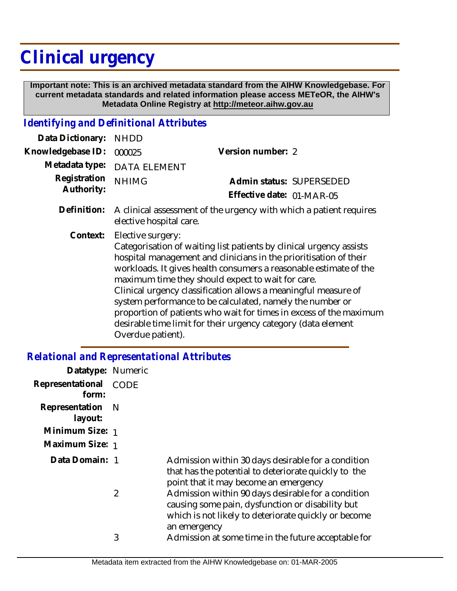## **Clinical urgency**

 **Important note: This is an archived metadata standard from the AIHW Knowledgebase. For current metadata standards and related information please access METeOR, the AIHW's Metadata Online Registry at http://meteor.aihw.gov.au**

## *Identifying and Definitional Attributes*

| Data Dictionary:           | <b>NHDD</b>                                                                                                                                                                                                                                                                                                                                                                                                                                                                                                                                                                        |                           |  |
|----------------------------|------------------------------------------------------------------------------------------------------------------------------------------------------------------------------------------------------------------------------------------------------------------------------------------------------------------------------------------------------------------------------------------------------------------------------------------------------------------------------------------------------------------------------------------------------------------------------------|---------------------------|--|
| Knowledgebase ID:          | 000025                                                                                                                                                                                                                                                                                                                                                                                                                                                                                                                                                                             | Version number: 2         |  |
| Metadata type:             | <b>DATA ELEMENT</b>                                                                                                                                                                                                                                                                                                                                                                                                                                                                                                                                                                |                           |  |
| Registration<br>Authority: | <b>NHIMG</b>                                                                                                                                                                                                                                                                                                                                                                                                                                                                                                                                                                       | Admin status: SUPERSEDED  |  |
|                            |                                                                                                                                                                                                                                                                                                                                                                                                                                                                                                                                                                                    | Effective date: 01-MAR-05 |  |
| Definition:                | A clinical assessment of the urgency with which a patient requires<br>elective hospital care.                                                                                                                                                                                                                                                                                                                                                                                                                                                                                      |                           |  |
| Context:                   | Elective surgery:<br>Categorisation of waiting list patients by clinical urgency assists<br>hospital management and clinicians in the prioritisation of their<br>workloads. It gives health consumers a reasonable estimate of the<br>maximum time they should expect to wait for care.<br>Clinical urgency classification allows a meaningful measure of<br>system performance to be calculated, namely the number or<br>proportion of patients who wait for times in excess of the maximum<br>desirable time limit for their urgency category (data element<br>Overdue patient). |                           |  |

## *Relational and Representational Attributes*

| Datatype: Numeric         |      |                                                                                                                                                                                |
|---------------------------|------|--------------------------------------------------------------------------------------------------------------------------------------------------------------------------------|
| Representational<br>form: | CODE |                                                                                                                                                                                |
| Representation<br>layout: | - N  |                                                                                                                                                                                |
| Minimum Size: 1           |      |                                                                                                                                                                                |
| Maximum Size: 1           |      |                                                                                                                                                                                |
| Data Domain: 1            |      | Admission within 30 days desirable for a condition<br>that has the potential to deteriorate quickly to the<br>point that it may become an emergency                            |
|                           | 2    | Admission within 90 days desirable for a condition<br>causing some pain, dysfunction or disability but<br>which is not likely to deteriorate quickly or become<br>an emergency |
|                           | 3    | Admission at some time in the future acceptable for                                                                                                                            |